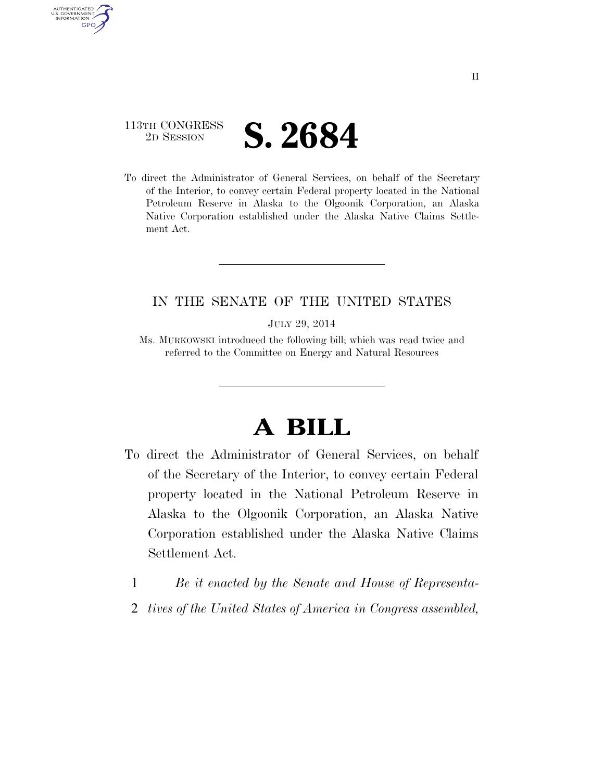### 113TH CONGRESS **2D SESSION S. 2684**

AUTHENTICATED U.S. GOVERNMENT **GPO** 

> To direct the Administrator of General Services, on behalf of the Secretary of the Interior, to convey certain Federal property located in the National Petroleum Reserve in Alaska to the Olgoonik Corporation, an Alaska Native Corporation established under the Alaska Native Claims Settlement Act.

### IN THE SENATE OF THE UNITED STATES

JULY 29, 2014

Ms. MURKOWSKI introduced the following bill; which was read twice and referred to the Committee on Energy and Natural Resources

# **A BILL**

- To direct the Administrator of General Services, on behalf of the Secretary of the Interior, to convey certain Federal property located in the National Petroleum Reserve in Alaska to the Olgoonik Corporation, an Alaska Native Corporation established under the Alaska Native Claims Settlement Act.
	- 1 *Be it enacted by the Senate and House of Representa-*
	- 2 *tives of the United States of America in Congress assembled,*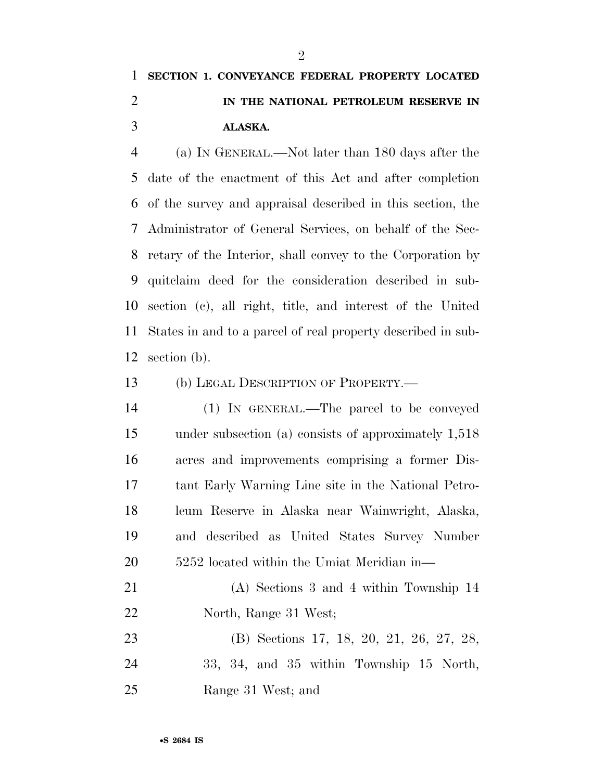## **SECTION 1. CONVEYANCE FEDERAL PROPERTY LOCATED IN THE NATIONAL PETROLEUM RESERVE IN ALASKA.**

 (a) IN GENERAL.—Not later than 180 days after the date of the enactment of this Act and after completion of the survey and appraisal described in this section, the Administrator of General Services, on behalf of the Sec- retary of the Interior, shall convey to the Corporation by quitclaim deed for the consideration described in sub- section (c), all right, title, and interest of the United States in and to a parcel of real property described in sub-section (b).

#### (b) LEGAL DESCRIPTION OF PROPERTY.—

 (1) IN GENERAL.—The parcel to be conveyed under subsection (a) consists of approximately 1,518 acres and improvements comprising a former Dis- tant Early Warning Line site in the National Petro- leum Reserve in Alaska near Wainwright, Alaska, and described as United States Survey Number 5252 located within the Umiat Meridian in—

- (A) Sections 3 and 4 within Township 14 North, Range 31 West;
- (B) Sections 17, 18, 20, 21, 26, 27, 28, 33, 34, and 35 within Township 15 North, Range 31 West; and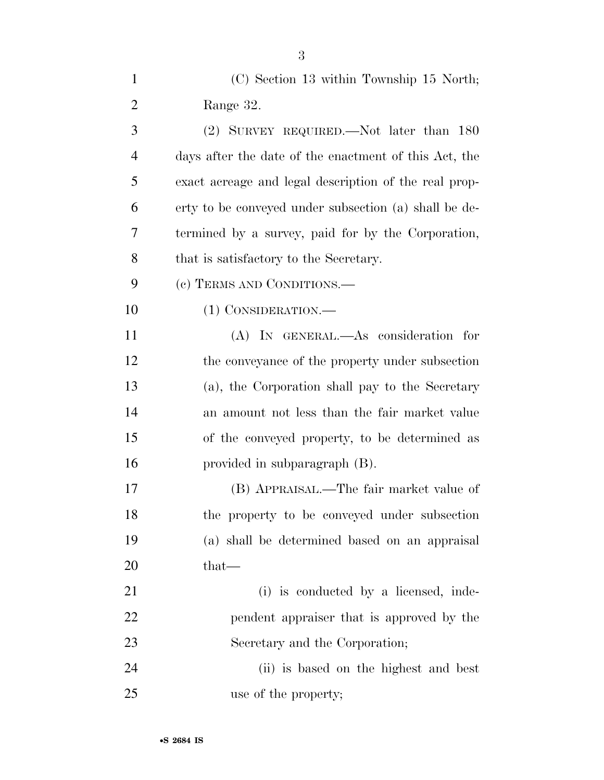| $\mathbf{1}$   | (C) Section 13 within Township 15 North;              |
|----------------|-------------------------------------------------------|
| $\overline{2}$ | Range 32.                                             |
| 3              | (2) SURVEY REQUIRED.—Not later than 180               |
| 4              | days after the date of the enactment of this Act, the |
| 5              | exact acreage and legal description of the real prop- |
| 6              | erty to be conveyed under subsection (a) shall be de- |
| 7              | termined by a survey, paid for by the Corporation,    |
| 8              | that is satisfactory to the Secretary.                |
| 9              | (c) TERMS AND CONDITIONS.—                            |
| 10             | (1) CONSIDERATION.—                                   |
| 11             | (A) IN GENERAL.—As consideration for                  |
| 12             | the conveyance of the property under subsection       |
| 13             | (a), the Corporation shall pay to the Secretary       |
| 14             | an amount not less than the fair market value         |
| 15             | of the conveyed property, to be determined as         |
| 16             | provided in subparagraph $(B)$ .                      |
| 17             | (B) APPRAISAL.—The fair market value of               |
| 18             | the property to be conveyed under subsection          |
| 19             | (a) shall be determined based on an appraisal         |
| 20             | that—                                                 |
| 21             | (i) is conducted by a licensed, inde-                 |
| 22             | pendent appraiser that is approved by the             |
| 23             | Secretary and the Corporation;                        |
| 24             | (ii) is based on the highest and best                 |
| 25             | use of the property;                                  |